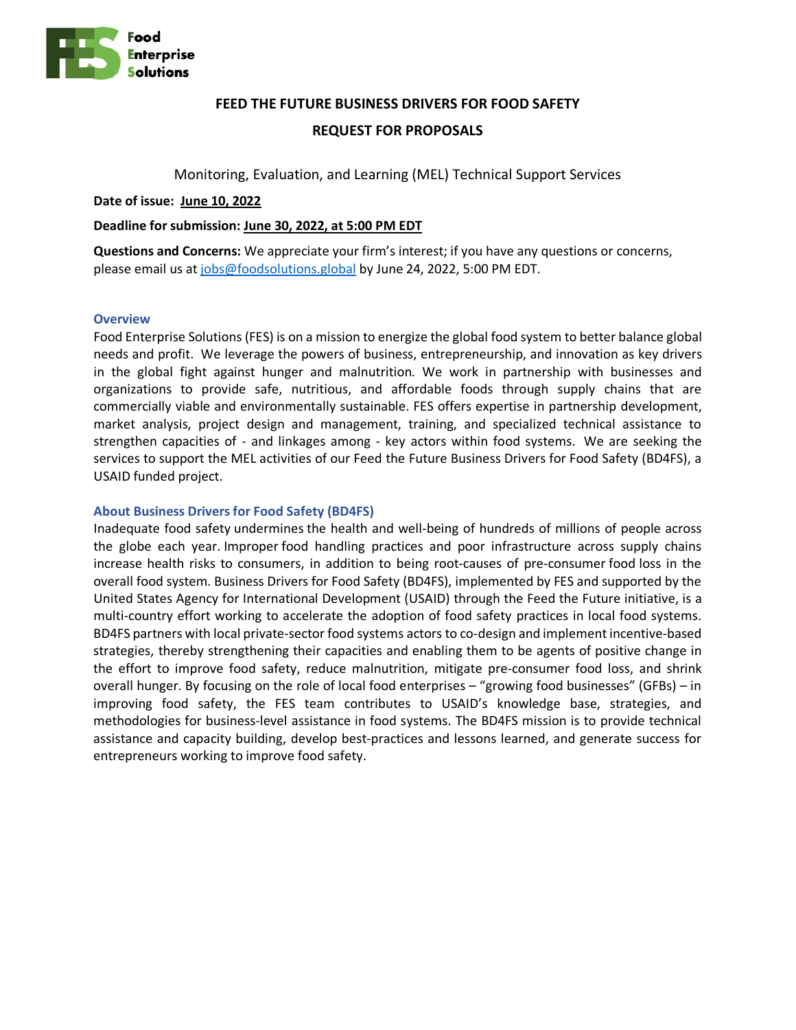

# **FEED THE FUTURE BUSINESS DRIVERS FOR FOOD SAFETY**

# **REQUEST FOR PROPOSALS**

Monitoring, Evaluation, and Learning (MEL) Technical Support Services

**Date of issue: June 10, 2022**

### **Deadline for submission: June 30, 2022, at 5:00 PM EDT**

**Questions and Concerns:** We appreciate your firm's interest; if you have any questions or concerns, please email us a[t jobs@foodsolutions.global](mailto:jobs@foodsolutions.global) by June 24, 2022, 5:00 PM EDT.

#### **Overview**

Food Enterprise Solutions (FES) is on a mission to energize the global food system to better balance global needs and profit. We leverage the powers of business, entrepreneurship, and innovation as key drivers in the global fight against hunger and malnutrition. We work in partnership with businesses and organizations to provide safe, nutritious, and affordable foods through supply chains that are commercially viable and environmentally sustainable. FES offers expertise in partnership development, market analysis, project design and management, training, and specialized technical assistance to strengthen capacities of - and linkages among - key actors within food systems. We are seeking the services to support the MEL activities of our Feed the Future Business Drivers for Food Safety (BD4FS), a USAID funded project.

# **About Business Drivers for Food Safety (BD4FS)**

Inadequate food safety undermines the health and well-being of hundreds of millions of people across the globe each year. Improper food handling practices and poor infrastructure across supply chains increase health risks to consumers, in addition to being root-causes of pre-consumer food loss in the overall food system. Business Drivers for Food Safety (BD4FS), implemented by FES and supported by the United States Agency for International Development (USAID) through the Feed the Future initiative, is a multi-country effort working to accelerate the adoption of food safety practices in local food systems. BD4FS partners with local private-sector food systems actors to co-design and implement incentive-based strategies, thereby strengthening their capacities and enabling them to be agents of positive change in the effort to improve food safety, reduce malnutrition, mitigate pre-consumer food loss, and shrink overall hunger. By focusing on the role of local food enterprises – "growing food businesses" (GFBs) – in improving food safety, the FES team contributes to USAID's knowledge base, strategies, and methodologies for business-level assistance in food systems. The BD4FS mission is to provide technical assistance and capacity building, develop best-practices and lessons learned, and generate success for entrepreneurs working to improve food safety.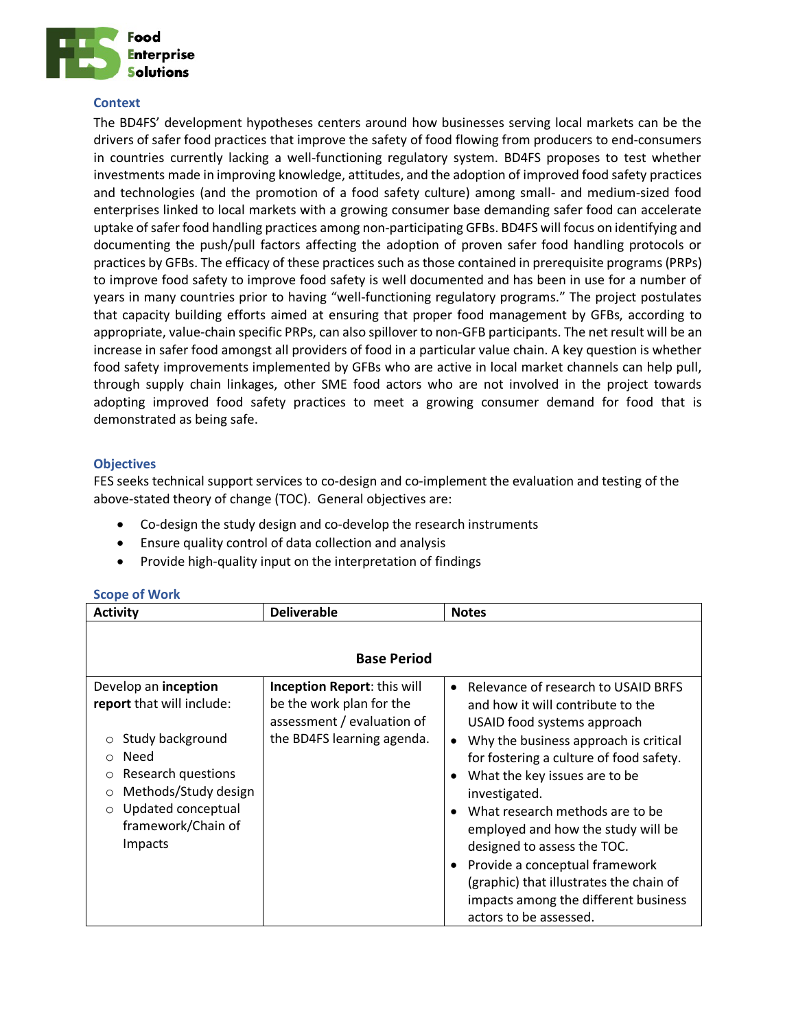

#### **Context**

The BD4FS' development hypotheses centers around how businesses serving local markets can be the drivers of safer food practices that improve the safety of food flowing from producers to end-consumers in countries currently lacking a well-functioning regulatory system. BD4FS proposes to test whether investments made in improving knowledge, attitudes, and the adoption of improved food safety practices and technologies (and the promotion of a food safety culture) among small- and medium-sized food enterprises linked to local markets with a growing consumer base demanding safer food can accelerate uptake of safer food handling practices among non-participating GFBs. BD4FS will focus on identifying and documenting the push/pull factors affecting the adoption of proven safer food handling protocols or practices by GFBs. The efficacy of these practices such as those contained in prerequisite programs (PRPs) to improve food safety to improve food safety is well documented and has been in use for a number of years in many countries prior to having "well-functioning regulatory programs." The project postulates that capacity building efforts aimed at ensuring that proper food management by GFBs, according to appropriate, value-chain specific PRPs, can also spillover to non-GFB participants. The net result will be an increase in safer food amongst all providers of food in a particular value chain. A key question is whether food safety improvements implemented by GFBs who are active in local market channels can help pull, through supply chain linkages, other SME food actors who are not involved in the project towards adopting improved food safety practices to meet a growing consumer demand for food that is demonstrated as being safe.

# **Objectives**

FES seeks technical support services to co-design and co-implement the evaluation and testing of the above-stated theory of change (TOC). General objectives are:

- Co-design the study design and co-develop the research instruments
- Ensure quality control of data collection and analysis
- Provide high-quality input on the interpretation of findings

| <b>Activity</b>                                                                                                                                                                      | <b>Deliverable</b>                                                            | <b>Notes</b>                                                                                                                                                                                                                                                                                                                                                                                                                                                                 |
|--------------------------------------------------------------------------------------------------------------------------------------------------------------------------------------|-------------------------------------------------------------------------------|------------------------------------------------------------------------------------------------------------------------------------------------------------------------------------------------------------------------------------------------------------------------------------------------------------------------------------------------------------------------------------------------------------------------------------------------------------------------------|
| Develop an inception<br>report that will include:                                                                                                                                    | <b>Base Period</b><br>Inception Report: this will<br>be the work plan for the | Relevance of research to USAID BRFS<br>$\bullet$<br>and how it will contribute to the                                                                                                                                                                                                                                                                                                                                                                                        |
| Study background<br>$\circ$<br>Need<br>$\circ$<br>Research questions<br>$\circ$<br>Methods/Study design<br>$\circ$<br>Updated conceptual<br>$\circ$<br>framework/Chain of<br>Impacts | assessment / evaluation of<br>the BD4FS learning agenda.                      | USAID food systems approach<br>Why the business approach is critical<br>$\bullet$<br>for fostering a culture of food safety.<br>What the key issues are to be<br>$\bullet$<br>investigated.<br>What research methods are to be<br>$\bullet$<br>employed and how the study will be<br>designed to assess the TOC.<br>Provide a conceptual framework<br>$\bullet$<br>(graphic) that illustrates the chain of<br>impacts among the different business<br>actors to be assessed. |

# **Scope of Work**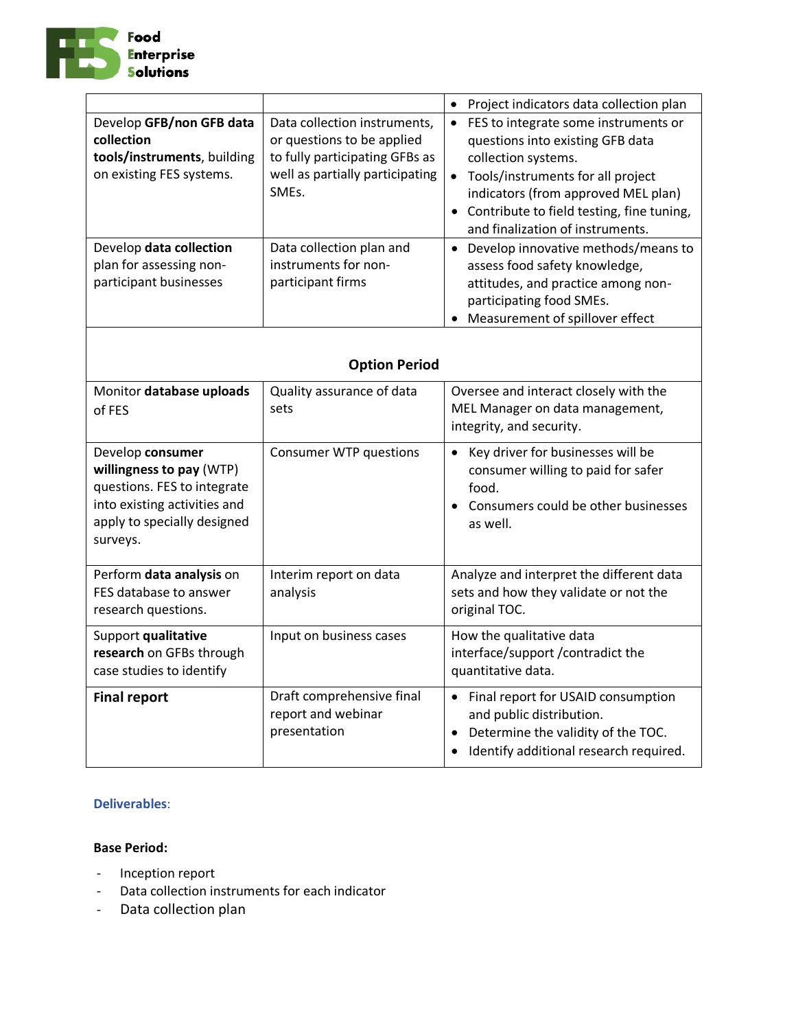

| Develop GFB/non GFB data                                                                                                                               | Data collection instruments,                                                                                                                                                      | Project indicators data collection plan<br>$\bullet$<br>FES to integrate some instruments or<br>$\bullet$                                                                                                                                                                                                                                                                                                                                             |  |
|--------------------------------------------------------------------------------------------------------------------------------------------------------|-----------------------------------------------------------------------------------------------------------------------------------------------------------------------------------|-------------------------------------------------------------------------------------------------------------------------------------------------------------------------------------------------------------------------------------------------------------------------------------------------------------------------------------------------------------------------------------------------------------------------------------------------------|--|
| collection<br>tools/instruments, building<br>on existing FES systems.<br>Develop data collection<br>plan for assessing non-<br>participant businesses  | or questions to be applied<br>to fully participating GFBs as<br>well as partially participating<br>SMEs.<br>Data collection plan and<br>instruments for non-<br>participant firms | questions into existing GFB data<br>collection systems.<br>Tools/instruments for all project<br>$\bullet$<br>indicators (from approved MEL plan)<br>Contribute to field testing, fine tuning,<br>$\bullet$<br>and finalization of instruments.<br>Develop innovative methods/means to<br>$\bullet$<br>assess food safety knowledge,<br>attitudes, and practice among non-<br>participating food SMEs.<br>Measurement of spillover effect<br>$\bullet$ |  |
| <b>Option Period</b>                                                                                                                                   |                                                                                                                                                                                   |                                                                                                                                                                                                                                                                                                                                                                                                                                                       |  |
| Monitor database uploads<br>of FES                                                                                                                     | Quality assurance of data<br>sets                                                                                                                                                 | Oversee and interact closely with the<br>MEL Manager on data management,<br>integrity, and security.                                                                                                                                                                                                                                                                                                                                                  |  |
| Develop consumer<br>willingness to pay (WTP)<br>questions. FES to integrate<br>into existing activities and<br>apply to specially designed<br>surveys. | <b>Consumer WTP questions</b>                                                                                                                                                     | Key driver for businesses will be<br>$\bullet$<br>consumer willing to paid for safer<br>food.<br>Consumers could be other businesses<br>as well.                                                                                                                                                                                                                                                                                                      |  |
| Perform data analysis on<br>FES database to answer<br>research questions.                                                                              | Interim report on data<br>analysis                                                                                                                                                | Analyze and interpret the different data<br>sets and how they validate or not the<br>original TOC.                                                                                                                                                                                                                                                                                                                                                    |  |
| Support qualitative<br>research on GFBs through<br>case studies to identify                                                                            | Input on business cases                                                                                                                                                           | How the qualitative data<br>interface/support /contradict the<br>quantitative data.                                                                                                                                                                                                                                                                                                                                                                   |  |
| <b>Final report</b>                                                                                                                                    | Draft comprehensive final<br>report and webinar<br>presentation                                                                                                                   | • Final report for USAID consumption<br>and public distribution.<br>Determine the validity of the TOC.<br>Identify additional research required.<br>$\bullet$                                                                                                                                                                                                                                                                                         |  |

# **Deliverables**:

# **Base Period:**

- Inception report
- Data collection instruments for each indicator
- Data collection plan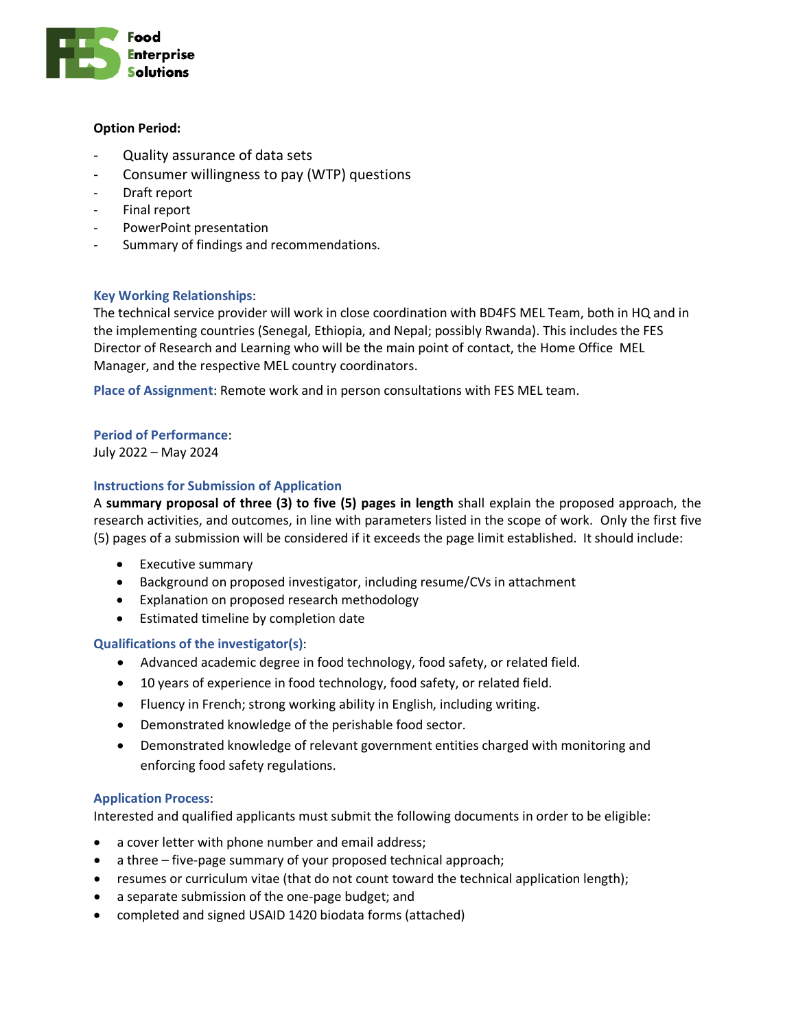

### **Option Period:**

- Quality assurance of data sets
- Consumer willingness to pay (WTP) questions
- Draft report
- Final report
- PowerPoint presentation
- Summary of findings and recommendations.

# **Key Working Relationships**:

The technical service provider will work in close coordination with BD4FS MEL Team, both in HQ and in the implementing countries (Senegal, Ethiopia, and Nepal; possibly Rwanda). This includes the FES Director of Research and Learning who will be the main point of contact, the Home Office MEL Manager, and the respective MEL country coordinators.

**Place of Assignment**: Remote work and in person consultations with FES MEL team.

# **Period of Performance**:

July 2022 – May 2024

# **Instructions for Submission of Application**

A **summary proposal of three (3) to five (5) pages in length** shall explain the proposed approach, the research activities, and outcomes, in line with parameters listed in the scope of work. Only the first five (5) pages of a submission will be considered if it exceeds the page limit established. It should include:

- Executive summary
- Background on proposed investigator, including resume/CVs in attachment
- Explanation on proposed research methodology
- Estimated timeline by completion date

# **Qualifications of the investigator(s)**:

- Advanced academic degree in food technology, food safety, or related field.
- 10 years of experience in food technology, food safety, or related field.
- Fluency in French; strong working ability in English, including writing.
- Demonstrated knowledge of the perishable food sector.
- Demonstrated knowledge of relevant government entities charged with monitoring and enforcing food safety regulations.

# **Application Process**:

Interested and qualified applicants must submit the following documents in order to be eligible:

- a cover letter with phone number and email address;
- a three five-page summary of your proposed technical approach;
- resumes or curriculum vitae (that do not count toward the technical application length);
- a separate submission of the one-page budget; and
- completed and signed USAID 1420 biodata forms (attached)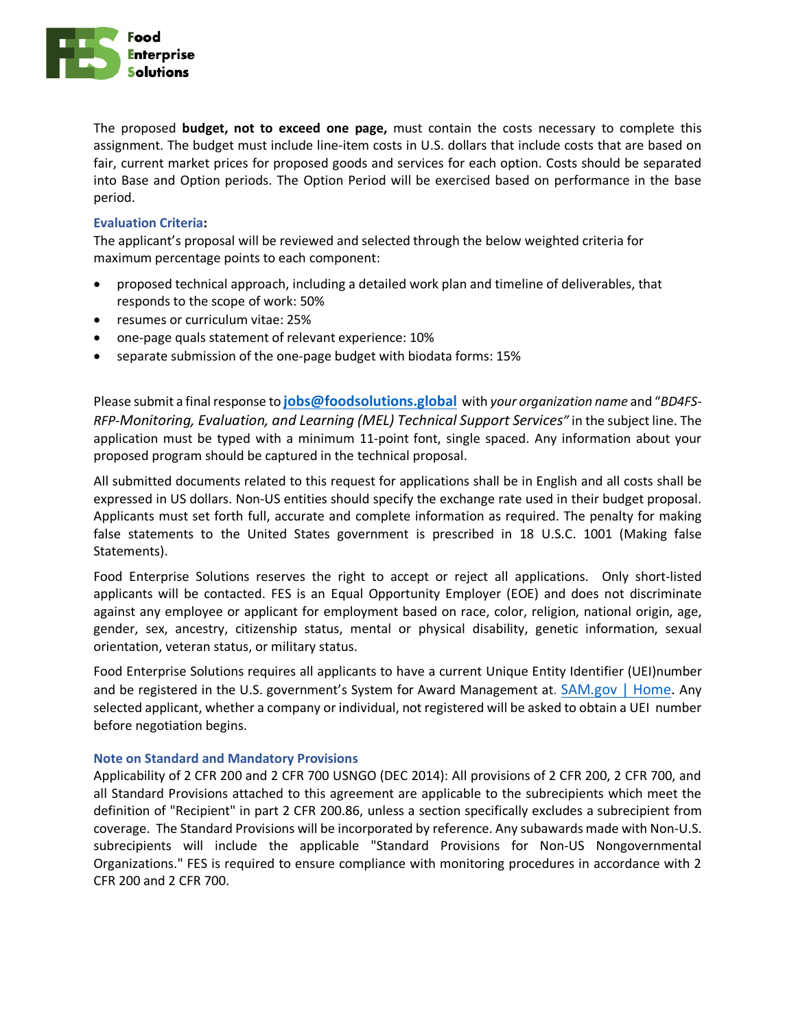

The proposed **budget, not to exceed one page,** must contain the costs necessary to complete this assignment. The budget must include line-item costs in U.S. dollars that include costs that are based on fair, current market prices for proposed goods and services for each option. Costs should be separated into Base and Option periods. The Option Period will be exercised based on performance in the base period.

### **Evaluation Criteria:**

The applicant's proposal will be reviewed and selected through the below weighted criteria for maximum percentage points to each component:

- proposed technical approach, including a detailed work plan and timeline of deliverables, that responds to the scope of work: 50%
- resumes or curriculum vitae: 25%
- one-page quals statement of relevant experience: 10%
- separate submission of the one-page budget with biodata forms: 15%

Please submit a final response to **[jobs@foodsolutions.global](mailto:jobs@foodsolutions.global)** with *your organization name* and "*BD4FS-RFP-Monitoring, Evaluation, and Learning (MEL) Technical Support Services"* in the subject line. The application must be typed with a minimum 11-point font, single spaced. Any information about your proposed program should be captured in the technical proposal.

All submitted documents related to this request for applications shall be in English and all costs shall be expressed in US dollars. Non-US entities should specify the exchange rate used in their budget proposal. Applicants must set forth full, accurate and complete information as required. The penalty for making false statements to the United States government is prescribed in 18 U.S.C. 1001 (Making false Statements).

Food Enterprise Solutions reserves the right to accept or reject all applications. Only short-listed applicants will be contacted. FES is an Equal Opportunity Employer (EOE) and does not discriminate against any employee or applicant for employment based on race, color, religion, national origin, age, gender, sex, ancestry, citizenship status, mental or physical disability, genetic information, sexual orientation, veteran status, or military status.

Food Enterprise Solutions requires all applicants to have a current Unique Entity Identifier (UEI)number and be registered in the U.S. government's System for Award Management at. [SAM.gov | Home.](https://sam.gov/content/home) Any selected applicant, whether a company or individual, not registered will be asked to obtain a UEI number before negotiation begins.

#### **Note on Standard and Mandatory Provisions**

Applicability of 2 CFR 200 and 2 CFR 700 USNGO (DEC 2014): All provisions of 2 CFR 200, 2 CFR 700, and all Standard Provisions attached to this agreement are applicable to the subrecipients which meet the definition of "Recipient" in part 2 CFR 200.86, unless a section specifically excludes a subrecipient from coverage. The Standard Provisions will be incorporated by reference. Any subawards made with Non-U.S. subrecipients will include the applicable "Standard Provisions for Non-US Nongovernmental Organizations." FES is required to ensure compliance with monitoring procedures in accordance with 2 CFR 200 and 2 CFR 700.